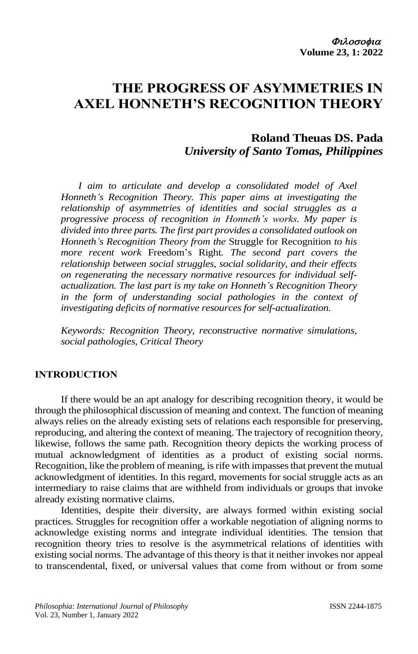# **THE PROGRESS OF ASYMMETRIES IN AXEL HONNETH'S RECOGNITION THEORY**

# **Roland Theuas DS. Pada** *University of Santo Tomas, Philippines*

*I aim to articulate and develop a consolidated model of Axel Honneth's Recognition Theory. This paper aims at investigating the relationship of asymmetries of identities and social struggles as a progressive process of recognition in Honneth's works. My paper is divided into three parts. The first part provides a consolidated outlook on Honneth's Recognition Theory from the* Struggle for Recognition *to his more recent work* Freedom's Right*. The second part covers the relationship between social struggles, social solidarity, and their effects on regenerating the necessary normative resources for individual selfactualization. The last part is my take on Honneth's Recognition Theory in the form of understanding social pathologies in the context of investigating deficits of normative resources for self-actualization.*

*Keywords: Recognition Theory, reconstructive normative simulations, social pathologies, Critical Theory*

## **INTRODUCTION**

If there would be an apt analogy for describing recognition theory, it would be through the philosophical discussion of meaning and context. The function of meaning always relies on the already existing sets of relations each responsible for preserving, reproducing, and altering the context of meaning. The trajectory of recognition theory, likewise, follows the same path. Recognition theory depicts the working process of mutual acknowledgment of identities as a product of existing social norms. Recognition, like the problem of meaning, is rife with impasses that prevent the mutual acknowledgment of identities. In this regard, movements for social struggle acts as an intermediary to raise claims that are withheld from individuals or groups that invoke already existing normative claims.

Identities, despite their diversity, are always formed within existing social practices. Struggles for recognition offer a workable negotiation of aligning norms to acknowledge existing norms and integrate individual identities. The tension that recognition theory tries to resolve is the asymmetrical relations of identities with existing social norms. The advantage of this theory is that it neither invokes nor appeal to transcendental, fixed, or universal values that come from without or from some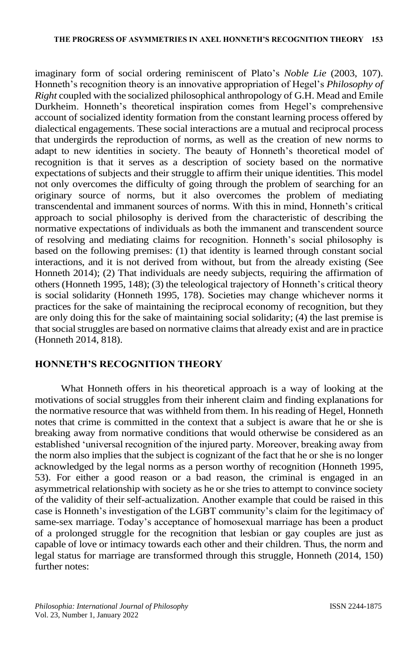imaginary form of social ordering reminiscent of Plato's *Noble Lie* (2003, 107). Honneth's recognition theory is an innovative appropriation of Hegel's *Philosophy of Right* coupled with the socialized philosophical anthropology of G.H. Mead and Emile Durkheim. Honneth's theoretical inspiration comes from Hegel's comprehensive account of socialized identity formation from the constant learning process offered by dialectical engagements. These social interactions are a mutual and reciprocal process that undergirds the reproduction of norms, as well as the creation of new norms to adapt to new identities in society. The beauty of Honneth's theoretical model of recognition is that it serves as a description of society based on the normative expectations of subjects and their struggle to affirm their unique identities. This model not only overcomes the difficulty of going through the problem of searching for an originary source of norms, but it also overcomes the problem of mediating transcendental and immanent sources of norms. With this in mind, Honneth's critical approach to social philosophy is derived from the characteristic of describing the normative expectations of individuals as both the immanent and transcendent source of resolving and mediating claims for recognition. Honneth's social philosophy is based on the following premises: (1) that identity is learned through constant social interactions, and it is not derived from without, but from the already existing (See Honneth 2014); (2) That individuals are needy subjects, requiring the affirmation of others(Honneth 1995, 148); (3) the teleological trajectory of Honneth's critical theory is social solidarity (Honneth 1995, 178). Societies may change whichever norms it practices for the sake of maintaining the reciprocal economy of recognition, but they are only doing this for the sake of maintaining social solidarity; (4) the last premise is that social struggles are based on normative claims that already exist and are in practice (Honneth 2014, 818).

# **HONNETH'S RECOGNITION THEORY**

What Honneth offers in his theoretical approach is a way of looking at the motivations of social struggles from their inherent claim and finding explanations for the normative resource that was withheld from them. In his reading of Hegel, Honneth notes that crime is committed in the context that a subject is aware that he or she is breaking away from normative conditions that would otherwise be considered as an established 'universal recognition of the injured party. Moreover, breaking away from the norm also implies that the subject is cognizant of the fact that he or she is no longer acknowledged by the legal norms as a person worthy of recognition (Honneth 1995, 53). For either a good reason or a bad reason, the criminal is engaged in an asymmetrical relationship with society as he or she tries to attempt to convince society of the validity of their self-actualization. Another example that could be raised in this case is Honneth's investigation of the LGBT community's claim for the legitimacy of same-sex marriage. Today's acceptance of homosexual marriage has been a product of a prolonged struggle for the recognition that lesbian or gay couples are just as capable of love or intimacy towards each other and their children. Thus, the norm and legal status for marriage are transformed through this struggle, Honneth (2014, 150) further notes: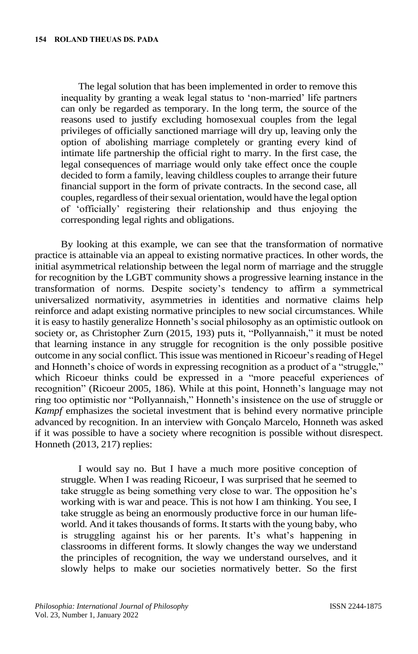The legal solution that has been implemented in order to remove this inequality by granting a weak legal status to 'non-married' life partners can only be regarded as temporary. In the long term, the source of the reasons used to justify excluding homosexual couples from the legal privileges of officially sanctioned marriage will dry up, leaving only the option of abolishing marriage completely or granting every kind of intimate life partnership the official right to marry. In the first case, the legal consequences of marriage would only take effect once the couple decided to form a family, leaving childless couples to arrange their future financial support in the form of private contracts. In the second case, all couples, regardless of their sexual orientation, would have the legal option of 'officially' registering their relationship and thus enjoying the corresponding legal rights and obligations.

By looking at this example, we can see that the transformation of normative practice is attainable via an appeal to existing normative practices. In other words, the initial asymmetrical relationship between the legal norm of marriage and the struggle for recognition by the LGBT community shows a progressive learning instance in the transformation of norms. Despite society's tendency to affirm a symmetrical universalized normativity, asymmetries in identities and normative claims help reinforce and adapt existing normative principles to new social circumstances. While it is easy to hastily generalize Honneth's social philosophy as an optimistic outlook on society or, as Christopher Zurn (2015, 193) puts it, "Pollyannaish," it must be noted that learning instance in any struggle for recognition is the only possible positive outcome in any social conflict. This issue was mentioned in Ricoeur's reading of Hegel and Honneth's choice of words in expressing recognition as a product of a "struggle," which Ricoeur thinks could be expressed in a "more peaceful experiences of recognition" (Ricoeur 2005, 186). While at this point, Honneth's language may not ring too optimistic nor "Pollyannaish," Honneth's insistence on the use of struggle or *Kampf* emphasizes the societal investment that is behind every normative principle advanced by recognition. In an interview with Gonçalo Marcelo, Honneth was asked if it was possible to have a society where recognition is possible without disrespect. Honneth (2013, 217) replies:

I would say no. But I have a much more positive conception of struggle. When I was reading Ricoeur, I was surprised that he seemed to take struggle as being something very close to war. The opposition he's working with is war and peace. This is not how I am thinking. You see, I take struggle as being an enormously productive force in our human lifeworld. And it takes thousands of forms. It starts with the young baby, who is struggling against his or her parents. It's what's happening in classrooms in different forms. It slowly changes the way we understand the principles of recognition, the way we understand ourselves, and it slowly helps to make our societies normatively better. So the first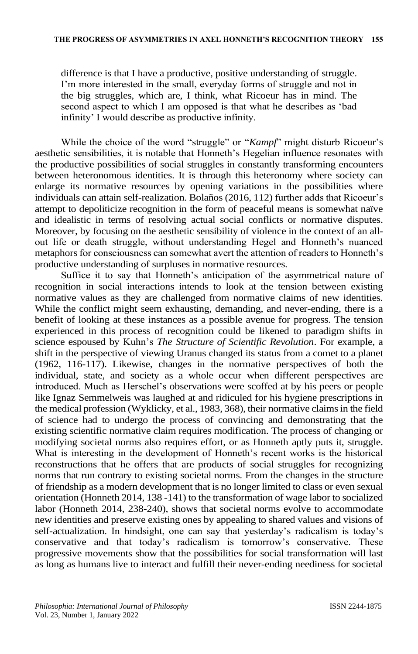difference is that I have a productive, positive understanding of struggle. I'm more interested in the small, everyday forms of struggle and not in the big struggles, which are, I think, what Ricoeur has in mind. The second aspect to which I am opposed is that what he describes as 'bad infinity' I would describe as productive infinity.

While the choice of the word "struggle" or "*Kampf*" might disturb Ricoeur's aesthetic sensibilities, it is notable that Honneth's Hegelian influence resonates with the productive possibilities of social struggles in constantly transforming encounters between heteronomous identities. It is through this heteronomy where society can enlarge its normative resources by opening variations in the possibilities where individuals can attain self-realization. Bolaños (2016, 112) further adds that Ricoeur's attempt to depoliticize recognition in the form of peaceful means is somewhat naïve and idealistic in terms of resolving actual social conflicts or normative disputes. Moreover, by focusing on the aesthetic sensibility of violence in the context of an allout life or death struggle, without understanding Hegel and Honneth's nuanced metaphors for consciousness can somewhat avert the attention of readers to Honneth's productive understanding of surpluses in normative resources.

Suffice it to say that Honneth's anticipation of the asymmetrical nature of recognition in social interactions intends to look at the tension between existing normative values as they are challenged from normative claims of new identities. While the conflict might seem exhausting, demanding, and never-ending, there is a benefit of looking at these instances as a possible avenue for progress. The tension experienced in this process of recognition could be likened to paradigm shifts in science espoused by Kuhn's *The Structure of Scientific Revolution*. For example, a shift in the perspective of viewing Uranus changed its status from a comet to a planet (1962, 116-117). Likewise, changes in the normative perspectives of both the individual, state, and society as a whole occur when different perspectives are introduced. Much as Herschel's observations were scoffed at by his peers or people like Ignaz Semmelweis was laughed at and ridiculed for his hygiene prescriptions in the medical profession (Wyklicky, et al., 1983, 368), their normative claims in the field of science had to undergo the process of convincing and demonstrating that the existing scientific normative claim requires modification. The process of changing or modifying societal norms also requires effort, or as Honneth aptly puts it, struggle. What is interesting in the development of Honneth's recent works is the historical reconstructions that he offers that are products of social struggles for recognizing norms that run contrary to existing societal norms. From the changes in the structure of friendship as a modern development that is no longer limited to class or even sexual orientation (Honneth 2014, 138 -141) to the transformation of wage labor to socialized labor (Honneth 2014, 238-240), shows that societal norms evolve to accommodate new identities and preserve existing ones by appealing to shared values and visions of self-actualization. In hindsight, one can say that yesterday's radicalism is today's conservative and that today's radicalism is tomorrow's conservative. These progressive movements show that the possibilities for social transformation will last as long as humans live to interact and fulfill their never-ending neediness for societal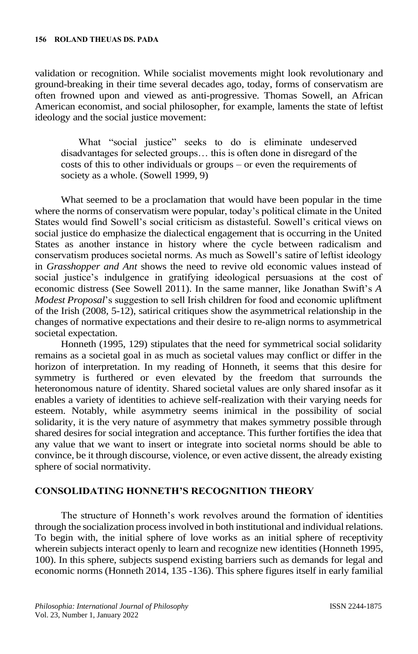validation or recognition. While socialist movements might look revolutionary and ground-breaking in their time several decades ago, today, forms of conservatism are often frowned upon and viewed as anti-progressive. Thomas Sowell, an African American economist, and social philosopher, for example, laments the state of leftist ideology and the social justice movement:

What "social justice" seeks to do is eliminate undeserved disadvantages for selected groups… this is often done in disregard of the costs of this to other individuals or groups – or even the requirements of society as a whole. (Sowell 1999, 9)

What seemed to be a proclamation that would have been popular in the time where the norms of conservatism were popular, today's political climate in the United States would find Sowell's social criticism as distasteful. Sowell's critical views on social justice do emphasize the dialectical engagement that is occurring in the United States as another instance in history where the cycle between radicalism and conservatism produces societal norms. As much as Sowell's satire of leftist ideology in *Grasshopper and Ant* shows the need to revive old economic values instead of social justice's indulgence in gratifying ideological persuasions at the cost of economic distress (See Sowell 2011). In the same manner, like Jonathan Swift's *A Modest Proposal*'s suggestion to sell Irish children for food and economic upliftment of the Irish (2008, 5-12), satirical critiques show the asymmetrical relationship in the changes of normative expectations and their desire to re-align norms to asymmetrical societal expectation.

Honneth (1995, 129) stipulates that the need for symmetrical social solidarity remains as a societal goal in as much as societal values may conflict or differ in the horizon of interpretation. In my reading of Honneth, it seems that this desire for symmetry is furthered or even elevated by the freedom that surrounds the heteronomous nature of identity. Shared societal values are only shared insofar as it enables a variety of identities to achieve self-realization with their varying needs for esteem. Notably, while asymmetry seems inimical in the possibility of social solidarity, it is the very nature of asymmetry that makes symmetry possible through shared desires for social integration and acceptance. This further fortifies the idea that any value that we want to insert or integrate into societal norms should be able to convince, be it through discourse, violence, or even active dissent, the already existing sphere of social normativity.

## **CONSOLIDATING HONNETH'S RECOGNITION THEORY**

The structure of Honneth's work revolves around the formation of identities through the socialization process involved in both institutional and individual relations. To begin with, the initial sphere of love works as an initial sphere of receptivity wherein subjects interact openly to learn and recognize new identities (Honneth 1995, 100). In this sphere, subjects suspend existing barriers such as demands for legal and economic norms (Honneth 2014, 135 -136). This sphere figures itself in early familial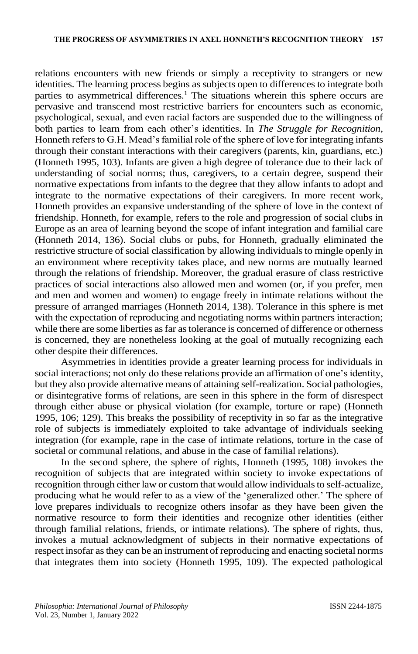relations encounters with new friends or simply a receptivity to strangers or new identities. The learning process begins as subjects open to differences to integrate both parties to asymmetrical differences.<sup>1</sup> The situations wherein this sphere occurs are pervasive and transcend most restrictive barriers for encounters such as economic, psychological, sexual, and even racial factors are suspended due to the willingness of both parties to learn from each other's identities. In *The Struggle for Recognition*, Honneth refers to G.H. Mead's familial role of the sphere of love for integrating infants through their constant interactions with their caregivers (parents, kin, guardians, etc.) (Honneth 1995, 103). Infants are given a high degree of tolerance due to their lack of understanding of social norms; thus, caregivers, to a certain degree, suspend their normative expectations from infants to the degree that they allow infants to adopt and integrate to the normative expectations of their caregivers. In more recent work, Honneth provides an expansive understanding of the sphere of love in the context of friendship. Honneth, for example, refers to the role and progression of social clubs in Europe as an area of learning beyond the scope of infant integration and familial care (Honneth 2014, 136). Social clubs or pubs, for Honneth, gradually eliminated the restrictive structure of social classification by allowing individuals to mingle openly in an environment where receptivity takes place, and new norms are mutually learned through the relations of friendship. Moreover, the gradual erasure of class restrictive practices of social interactions also allowed men and women (or, if you prefer, men and men and women and women) to engage freely in intimate relations without the pressure of arranged marriages (Honneth 2014, 138). Tolerance in this sphere is met with the expectation of reproducing and negotiating norms within partners interaction; while there are some liberties as far as tolerance is concerned of difference or otherness is concerned, they are nonetheless looking at the goal of mutually recognizing each other despite their differences.

Asymmetries in identities provide a greater learning process for individuals in social interactions; not only do these relations provide an affirmation of one's identity, but they also provide alternative means of attaining self-realization. Social pathologies, or disintegrative forms of relations, are seen in this sphere in the form of disrespect through either abuse or physical violation (for example, torture or rape) (Honneth 1995, 106; 129). This breaks the possibility of receptivity in so far as the integrative role of subjects is immediately exploited to take advantage of individuals seeking integration (for example, rape in the case of intimate relations, torture in the case of societal or communal relations, and abuse in the case of familial relations).

In the second sphere, the sphere of rights, Honneth (1995, 108) invokes the recognition of subjects that are integrated within society to invoke expectations of recognition through either law or custom that would allow individuals to self-actualize, producing what he would refer to as a view of the 'generalized other.' The sphere of love prepares individuals to recognize others insofar as they have been given the normative resource to form their identities and recognize other identities (either through familial relations, friends, or intimate relations). The sphere of rights, thus, invokes a mutual acknowledgment of subjects in their normative expectations of respect insofar as they can be an instrument of reproducing and enacting societal norms that integrates them into society (Honneth 1995, 109). The expected pathological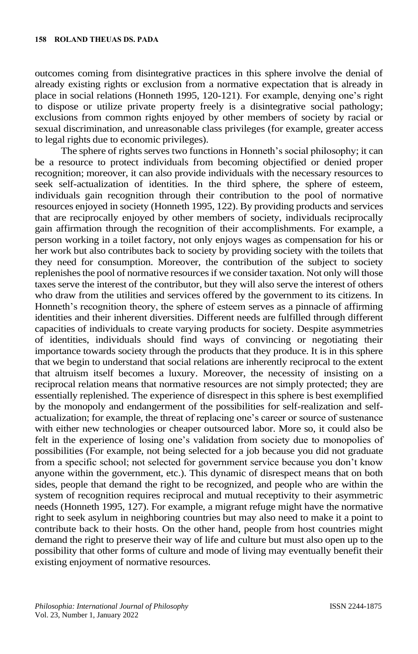outcomes coming from disintegrative practices in this sphere involve the denial of already existing rights or exclusion from a normative expectation that is already in place in social relations (Honneth 1995, 120-121). For example, denying one's right to dispose or utilize private property freely is a disintegrative social pathology; exclusions from common rights enjoyed by other members of society by racial or sexual discrimination, and unreasonable class privileges (for example, greater access to legal rights due to economic privileges).

The sphere of rights serves two functions in Honneth's social philosophy; it can be a resource to protect individuals from becoming objectified or denied proper recognition; moreover, it can also provide individuals with the necessary resources to seek self-actualization of identities. In the third sphere, the sphere of esteem, individuals gain recognition through their contribution to the pool of normative resources enjoyed in society (Honneth 1995, 122). By providing products and services that are reciprocally enjoyed by other members of society, individuals reciprocally gain affirmation through the recognition of their accomplishments. For example, a person working in a toilet factory, not only enjoys wages as compensation for his or her work but also contributes back to society by providing society with the toilets that they need for consumption. Moreover, the contribution of the subject to society replenishes the pool of normative resources if we consider taxation. Not only will those taxes serve the interest of the contributor, but they will also serve the interest of others who draw from the utilities and services offered by the government to its citizens. In Honneth's recognition theory, the sphere of esteem serves as a pinnacle of affirming identities and their inherent diversities. Different needs are fulfilled through different capacities of individuals to create varying products for society. Despite asymmetries of identities, individuals should find ways of convincing or negotiating their importance towards society through the products that they produce. It is in this sphere that we begin to understand that social relations are inherently reciprocal to the extent that altruism itself becomes a luxury. Moreover, the necessity of insisting on a reciprocal relation means that normative resources are not simply protected; they are essentially replenished. The experience of disrespect in this sphere is best exemplified by the monopoly and endangerment of the possibilities for self-realization and selfactualization; for example, the threat of replacing one's career or source of sustenance with either new technologies or cheaper outsourced labor. More so, it could also be felt in the experience of losing one's validation from society due to monopolies of possibilities (For example, not being selected for a job because you did not graduate from a specific school; not selected for government service because you don't know anyone within the government, etc.). This dynamic of disrespect means that on both sides, people that demand the right to be recognized, and people who are within the system of recognition requires reciprocal and mutual receptivity to their asymmetric needs (Honneth 1995, 127). For example, a migrant refuge might have the normative right to seek asylum in neighboring countries but may also need to make it a point to contribute back to their hosts. On the other hand, people from host countries might demand the right to preserve their way of life and culture but must also open up to the possibility that other forms of culture and mode of living may eventually benefit their existing enjoyment of normative resources.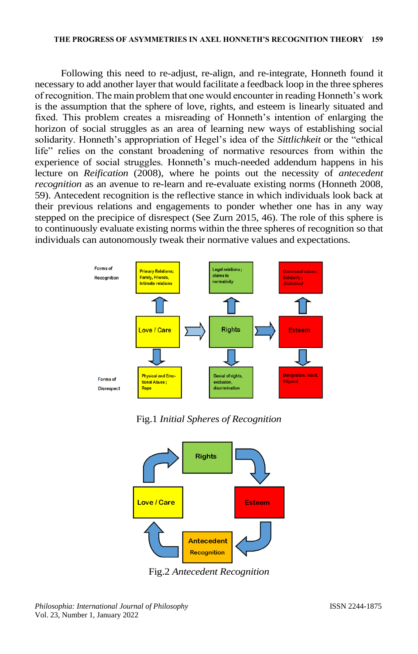Following this need to re-adjust, re-align, and re-integrate, Honneth found it necessary to add another layer that would facilitate a feedback loop in the three spheres of recognition. The main problem that one would encounter in reading Honneth's work is the assumption that the sphere of love, rights, and esteem is linearly situated and fixed. This problem creates a misreading of Honneth's intention of enlarging the horizon of social struggles as an area of learning new ways of establishing social solidarity. Honneth's appropriation of Hegel's idea of the *Sittlichkeit* or the "ethical life" relies on the constant broadening of normative resources from within the experience of social struggles. Honneth's much-needed addendum happens in his lecture on *Reification* (2008), where he points out the necessity of *antecedent recognition* as an avenue to re-learn and re-evaluate existing norms (Honneth 2008, 59). Antecedent recognition is the reflective stance in which individuals look back at their previous relations and engagements to ponder whether one has in any way stepped on the precipice of disrespect (See Zurn 2015, 46). The role of this sphere is to continuously evaluate existing norms within the three spheres of recognition so that individuals can autonomously tweak their normative values and expectations.



Fig.1 *Initial Spheres of Recognition*



Fig.2 *Antecedent Recognition*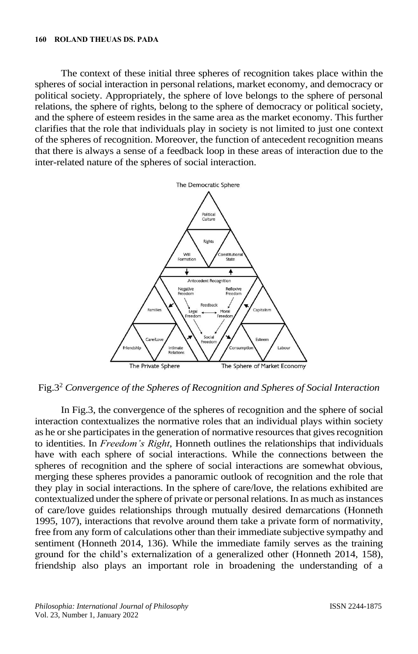The context of these initial three spheres of recognition takes place within the spheres of social interaction in personal relations, market economy, and democracy or political society. Appropriately, the sphere of love belongs to the sphere of personal relations, the sphere of rights, belong to the sphere of democracy or political society, and the sphere of esteem resides in the same area as the market economy. This further clarifies that the role that individuals play in society is not limited to just one context of the spheres of recognition. Moreover, the function of antecedent recognition means that there is always a sense of a feedback loop in these areas of interaction due to the inter-related nature of the spheres of social interaction.



Fig.3<sup>2</sup> *Convergence of the Spheres of Recognition and Spheres of Social Interaction*

In Fig.3, the convergence of the spheres of recognition and the sphere of social interaction contextualizes the normative roles that an individual plays within society as he or she participates in the generation of normative resources that gives recognition to identities. In *Freedom's Right*, Honneth outlines the relationships that individuals have with each sphere of social interactions. While the connections between the spheres of recognition and the sphere of social interactions are somewhat obvious, merging these spheres provides a panoramic outlook of recognition and the role that they play in social interactions. In the sphere of care/love, the relations exhibited are contextualized under the sphere of private or personal relations. In as much as instances of care/love guides relationships through mutually desired demarcations (Honneth 1995, 107), interactions that revolve around them take a private form of normativity, free from any form of calculations other than their immediate subjective sympathy and sentiment (Honneth 2014, 136). While the immediate family serves as the training ground for the child's externalization of a generalized other (Honneth 2014, 158), friendship also plays an important role in broadening the understanding of a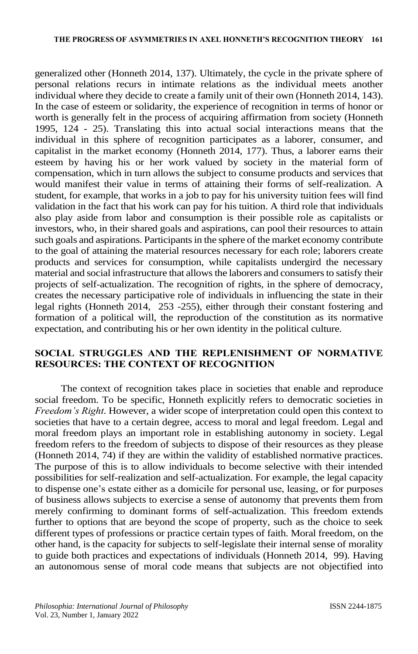generalized other (Honneth 2014, 137). Ultimately, the cycle in the private sphere of personal relations recurs in intimate relations as the individual meets another individual where they decide to create a family unit of their own (Honneth 2014, 143). In the case of esteem or solidarity, the experience of recognition in terms of honor or worth is generally felt in the process of acquiring affirmation from society (Honneth 1995, 124 - 25). Translating this into actual social interactions means that the individual in this sphere of recognition participates as a laborer, consumer, and capitalist in the market economy (Honneth 2014, 177). Thus, a laborer earns their esteem by having his or her work valued by society in the material form of compensation, which in turn allows the subject to consume products and services that would manifest their value in terms of attaining their forms of self-realization. A student, for example, that works in a job to pay for his university tuition fees will find validation in the fact that his work can pay for his tuition. A third role that individuals also play aside from labor and consumption is their possible role as capitalists or investors, who, in their shared goals and aspirations, can pool their resources to attain such goals and aspirations. Participants in the sphere of the market economy contribute to the goal of attaining the material resources necessary for each role; laborers create products and services for consumption, while capitalists undergird the necessary material and social infrastructure that allows the laborers and consumers to satisfy their projects of self-actualization. The recognition of rights, in the sphere of democracy, creates the necessary participative role of individuals in influencing the state in their legal rights (Honneth 2014, 253 -255), either through their constant fostering and formation of a political will, the reproduction of the constitution as its normative expectation, and contributing his or her own identity in the political culture.

# **SOCIAL STRUGGLES AND THE REPLENISHMENT OF NORMATIVE RESOURCES: THE CONTEXT OF RECOGNITION**

The context of recognition takes place in societies that enable and reproduce social freedom. To be specific, Honneth explicitly refers to democratic societies in *Freedom's Right*. However, a wider scope of interpretation could open this context to societies that have to a certain degree, access to moral and legal freedom. Legal and moral freedom plays an important role in establishing autonomy in society. Legal freedom refers to the freedom of subjects to dispose of their resources as they please (Honneth 2014, 74) if they are within the validity of established normative practices. The purpose of this is to allow individuals to become selective with their intended possibilities for self-realization and self-actualization. For example, the legal capacity to dispense one's estate either as a domicile for personal use, leasing, or for purposes of business allows subjects to exercise a sense of autonomy that prevents them from merely confirming to dominant forms of self-actualization. This freedom extends further to options that are beyond the scope of property, such as the choice to seek different types of professions or practice certain types of faith. Moral freedom, on the other hand, is the capacity for subjects to self-legislate their internal sense of morality to guide both practices and expectations of individuals (Honneth 2014, 99). Having an autonomous sense of moral code means that subjects are not objectified into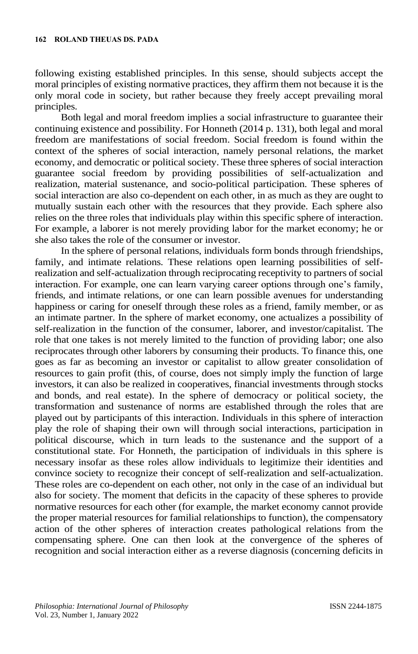following existing established principles. In this sense, should subjects accept the moral principles of existing normative practices, they affirm them not because it is the only moral code in society, but rather because they freely accept prevailing moral principles.

Both legal and moral freedom implies a social infrastructure to guarantee their continuing existence and possibility. For Honneth (2014 p. 131), both legal and moral freedom are manifestations of social freedom. Social freedom is found within the context of the spheres of social interaction, namely personal relations, the market economy, and democratic or political society. These three spheres of social interaction guarantee social freedom by providing possibilities of self-actualization and realization, material sustenance, and socio-political participation. These spheres of social interaction are also co-dependent on each other, in as much as they are ought to mutually sustain each other with the resources that they provide. Each sphere also relies on the three roles that individuals play within this specific sphere of interaction. For example, a laborer is not merely providing labor for the market economy; he or she also takes the role of the consumer or investor.

In the sphere of personal relations, individuals form bonds through friendships, family, and intimate relations. These relations open learning possibilities of selfrealization and self-actualization through reciprocating receptivity to partners of social interaction. For example, one can learn varying career options through one's family, friends, and intimate relations, or one can learn possible avenues for understanding happiness or caring for oneself through these roles as a friend, family member, or as an intimate partner. In the sphere of market economy, one actualizes a possibility of self-realization in the function of the consumer, laborer, and investor/capitalist. The role that one takes is not merely limited to the function of providing labor; one also reciprocates through other laborers by consuming their products. To finance this, one goes as far as becoming an investor or capitalist to allow greater consolidation of resources to gain profit (this, of course, does not simply imply the function of large investors, it can also be realized in cooperatives, financial investments through stocks and bonds, and real estate). In the sphere of democracy or political society, the transformation and sustenance of norms are established through the roles that are played out by participants of this interaction. Individuals in this sphere of interaction play the role of shaping their own will through social interactions, participation in political discourse, which in turn leads to the sustenance and the support of a constitutional state. For Honneth, the participation of individuals in this sphere is necessary insofar as these roles allow individuals to legitimize their identities and convince society to recognize their concept of self-realization and self-actualization. These roles are co-dependent on each other, not only in the case of an individual but also for society. The moment that deficits in the capacity of these spheres to provide normative resources for each other (for example, the market economy cannot provide the proper material resources for familial relationships to function), the compensatory action of the other spheres of interaction creates pathological relations from the compensating sphere. One can then look at the convergence of the spheres of recognition and social interaction either as a reverse diagnosis (concerning deficits in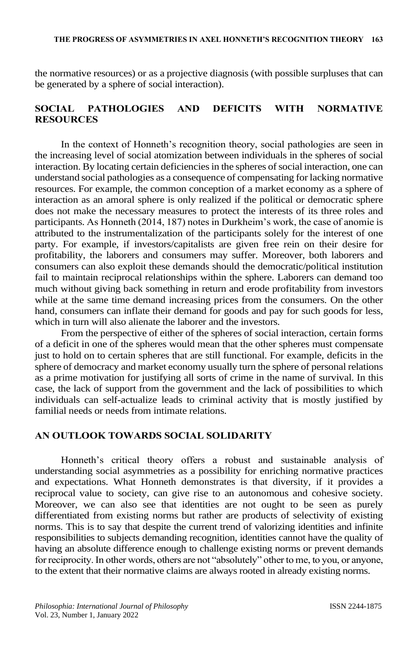#### **THE PROGRESS OF ASYMMETRIES IN AXEL HONNETH'S RECOGNITION THEORY 163**

the normative resources) or as a projective diagnosis (with possible surpluses that can be generated by a sphere of social interaction).

# **SOCIAL PATHOLOGIES AND DEFICITS WITH NORMATIVE RESOURCES**

In the context of Honneth's recognition theory, social pathologies are seen in the increasing level of social atomization between individuals in the spheres of social interaction. By locating certain deficiencies in the spheres of social interaction, one can understand social pathologies as a consequence of compensating for lacking normative resources. For example, the common conception of a market economy as a sphere of interaction as an amoral sphere is only realized if the political or democratic sphere does not make the necessary measures to protect the interests of its three roles and participants. As Honneth (2014, 187) notes in Durkheim's work, the case of anomie is attributed to the instrumentalization of the participants solely for the interest of one party. For example, if investors/capitalists are given free rein on their desire for profitability, the laborers and consumers may suffer. Moreover, both laborers and consumers can also exploit these demands should the democratic/political institution fail to maintain reciprocal relationships within the sphere. Laborers can demand too much without giving back something in return and erode profitability from investors while at the same time demand increasing prices from the consumers. On the other hand, consumers can inflate their demand for goods and pay for such goods for less, which in turn will also alienate the laborer and the investors.

From the perspective of either of the spheres of social interaction, certain forms of a deficit in one of the spheres would mean that the other spheres must compensate just to hold on to certain spheres that are still functional. For example, deficits in the sphere of democracy and market economy usually turn the sphere of personal relations as a prime motivation for justifying all sorts of crime in the name of survival. In this case, the lack of support from the government and the lack of possibilities to which individuals can self-actualize leads to criminal activity that is mostly justified by familial needs or needs from intimate relations.

# **AN OUTLOOK TOWARDS SOCIAL SOLIDARITY**

Honneth's critical theory offers a robust and sustainable analysis of understanding social asymmetries as a possibility for enriching normative practices and expectations. What Honneth demonstrates is that diversity, if it provides a reciprocal value to society, can give rise to an autonomous and cohesive society. Moreover, we can also see that identities are not ought to be seen as purely differentiated from existing norms but rather are products of selectivity of existing norms. This is to say that despite the current trend of valorizing identities and infinite responsibilities to subjects demanding recognition, identities cannot have the quality of having an absolute difference enough to challenge existing norms or prevent demands for reciprocity. In other words, others are not "absolutely" other to me, to you, or anyone, to the extent that their normative claims are always rooted in already existing norms.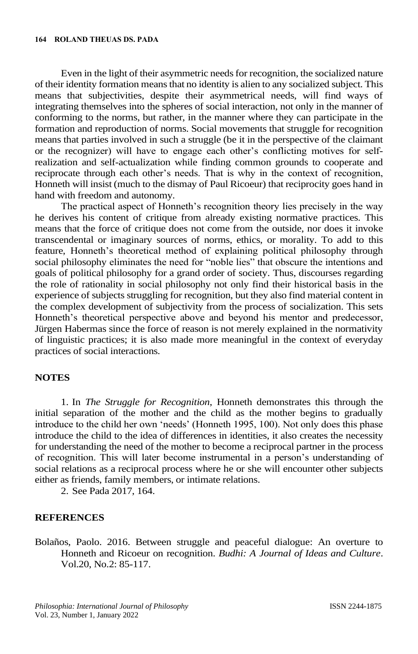Even in the light of their asymmetric needs for recognition, the socialized nature of their identity formation means that no identity is alien to any socialized subject. This means that subjectivities, despite their asymmetrical needs, will find ways of integrating themselves into the spheres of social interaction, not only in the manner of conforming to the norms, but rather, in the manner where they can participate in the formation and reproduction of norms. Social movements that struggle for recognition means that parties involved in such a struggle (be it in the perspective of the claimant or the recognizer) will have to engage each other's conflicting motives for selfrealization and self-actualization while finding common grounds to cooperate and reciprocate through each other's needs. That is why in the context of recognition, Honneth will insist (much to the dismay of Paul Ricoeur) that reciprocity goes hand in hand with freedom and autonomy.

The practical aspect of Honneth's recognition theory lies precisely in the way he derives his content of critique from already existing normative practices. This means that the force of critique does not come from the outside, nor does it invoke transcendental or imaginary sources of norms, ethics, or morality. To add to this feature, Honneth's theoretical method of explaining political philosophy through social philosophy eliminates the need for "noble lies" that obscure the intentions and goals of political philosophy for a grand order of society. Thus, discourses regarding the role of rationality in social philosophy not only find their historical basis in the experience of subjects struggling for recognition, but they also find material content in the complex development of subjectivity from the process of socialization. This sets Honneth's theoretical perspective above and beyond his mentor and predecessor, Jürgen Habermas since the force of reason is not merely explained in the normativity of linguistic practices; it is also made more meaningful in the context of everyday practices of social interactions.

### **NOTES**

1. In *The Struggle for Recognition*, Honneth demonstrates this through the initial separation of the mother and the child as the mother begins to gradually introduce to the child her own 'needs' (Honneth 1995, 100). Not only does this phase introduce the child to the idea of differences in identities, it also creates the necessity for understanding the need of the mother to become a reciprocal partner in the process of recognition. This will later become instrumental in a person's understanding of social relations as a reciprocal process where he or she will encounter other subjects either as friends, family members, or intimate relations.

2. See Pada 2017, 164.

## **REFERENCES**

Bolaños, Paolo. 2016. Between struggle and peaceful dialogue: An overture to Honneth and Ricoeur on recognition. *Budhi: A Journal of Ideas and Culture*. Vol.20, No.2: 85-117.